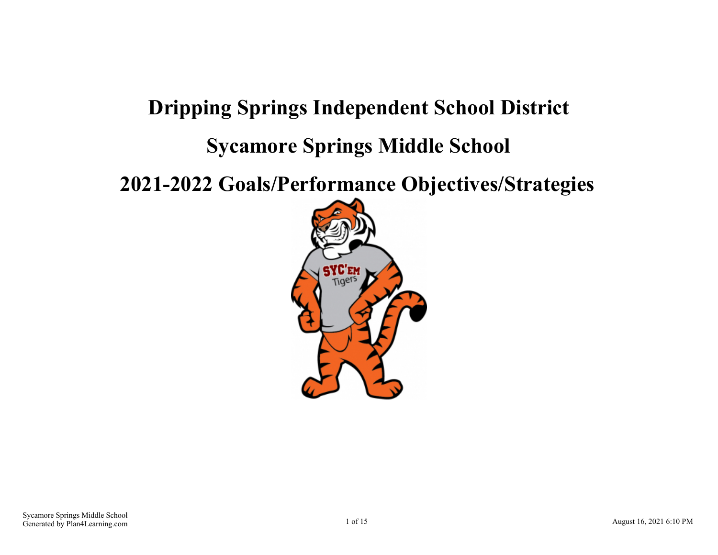# **Dripping Springs Independent School District Sycamore Springs Middle School**

**2021-2022 Goals/Performance Objectives/Strategies**

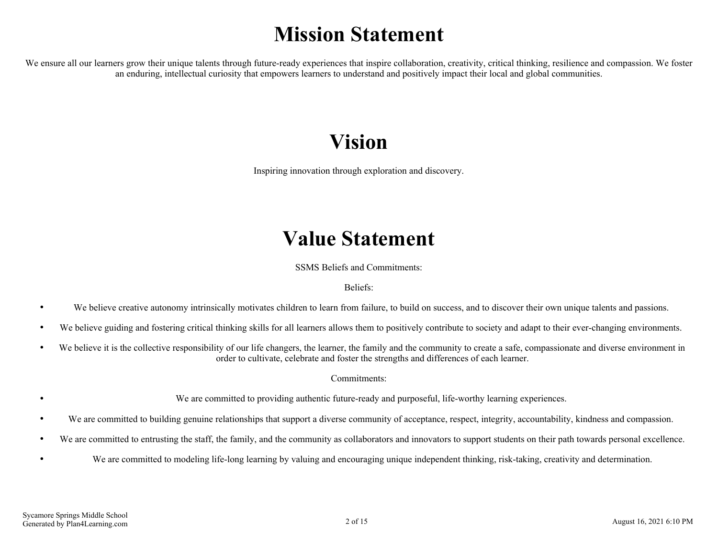# **Mission Statement**

We ensure all our learners grow their unique talents through future-ready experiences that inspire collaboration, creativity, critical thinking, resilience and compassion. We foster an enduring, intellectual curiosity that empowers learners to understand and positively impact their local and global communities.

# **Vision**

Inspiring innovation through exploration and discovery.

# **Value Statement**

SSMS Beliefs and Commitments:

Beliefs:

- We believe creative autonomy intrinsically motivates children to learn from failure, to build on success, and to discover their own unique talents and passions.
- We believe guiding and fostering critical thinking skills for all learners allows them to positively contribute to society and adapt to their ever-changing environments.
- We believe it is the collective responsibility of our life changers, the learner, the family and the community to create a safe, compassionate and diverse environment in  $\bullet$ order to cultivate, celebrate and foster the strengths and differences of each learner.

Commitments:

- We are committed to providing authentic future-ready and purposeful, life-worthy learning experiences.
- We are committed to building genuine relationships that support a diverse community of acceptance, respect, integrity, accountability, kindness and compassion.  $\bullet$
- We are committed to entrusting the staff, the family, and the community as collaborators and innovators to support students on their path towards personal excellence.  $\bullet$
- We are committed to modeling life-long learning by valuing and encouraging unique independent thinking, risk-taking, creativity and determination.  $\bullet$

 $\bullet$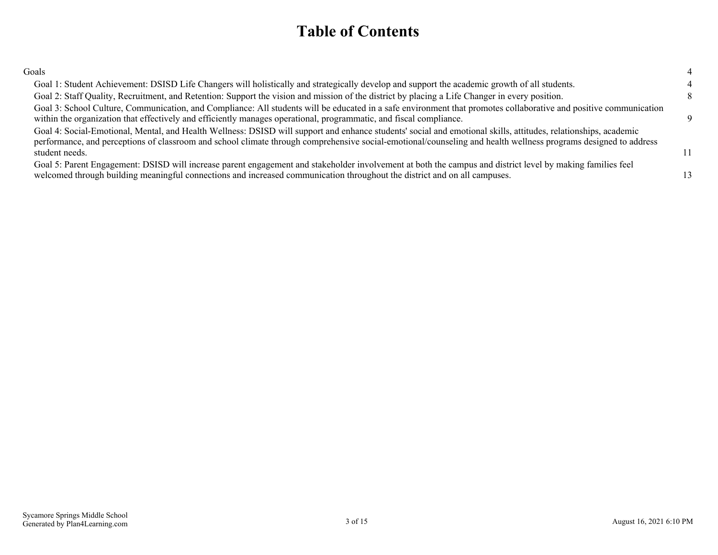## **Table of Contents**

| Goals                                                                                                                                                                                                                                                                                                                                                |    |  |
|------------------------------------------------------------------------------------------------------------------------------------------------------------------------------------------------------------------------------------------------------------------------------------------------------------------------------------------------------|----|--|
| Goal 1: Student Achievement: DSISD Life Changers will holistically and strategically develop and support the academic growth of all students.                                                                                                                                                                                                        |    |  |
| Goal 2: Staff Quality, Recruitment, and Retention: Support the vision and mission of the district by placing a Life Changer in every position.                                                                                                                                                                                                       |    |  |
| Goal 3: School Culture, Communication, and Compliance: All students will be educated in a safe environment that promotes collaborative and positive communication<br>within the organization that effectively and efficiently manages operational, programmatic, and fiscal compliance.                                                              | Q  |  |
| Goal 4: Social-Emotional, Mental, and Health Wellness: DSISD will support and enhance students' social and emotional skills, attitudes, relationships, academic<br>performance, and perceptions of classroom and school climate through comprehensive social-emotional/counseling and health wellness programs designed to address<br>student needs. | 11 |  |
| Goal 5: Parent Engagement: DSISD will increase parent engagement and stakeholder involvement at both the campus and district level by making families feel<br>welcomed through building meaningful connections and increased communication throughout the district and on all campuses.                                                              |    |  |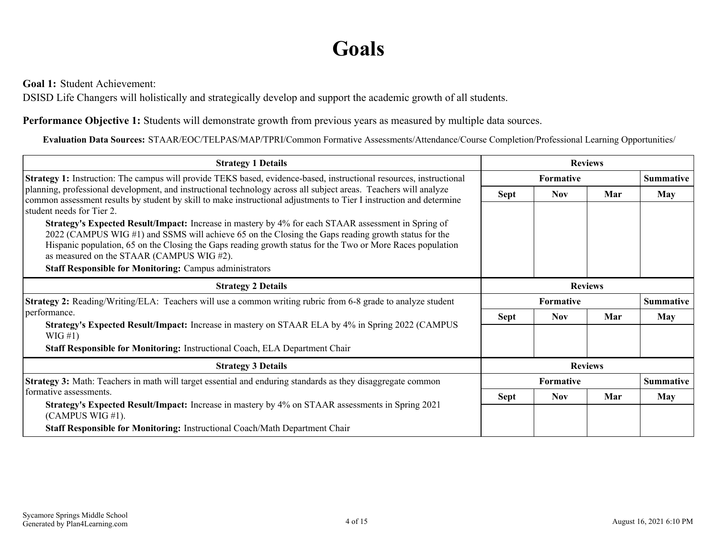# **Goals**

<span id="page-3-0"></span>**Goal 1:** Student Achievement:

DSISD Life Changers will holistically and strategically develop and support the academic growth of all students.

**Performance Objective 1:** Students will demonstrate growth from previous years as measured by multiple data sources.

**Evaluation Data Sources:** STAAR/EOC/TELPAS/MAP/TPRI/Common Formative Assessments/Attendance/Course Completion/Professional Learning Opportunities/

| <b>Strategy 1 Details</b>                                                                                                                                                                                                                                                                                                                                                                                                              | <b>Reviews</b>   |                                      |                |                  |
|----------------------------------------------------------------------------------------------------------------------------------------------------------------------------------------------------------------------------------------------------------------------------------------------------------------------------------------------------------------------------------------------------------------------------------------|------------------|--------------------------------------|----------------|------------------|
| Strategy 1: Instruction: The campus will provide TEKS based, evidence-based, instructional resources, instructional                                                                                                                                                                                                                                                                                                                    |                  | <b>Formative</b>                     |                | <b>Summative</b> |
| planning, professional development, and instructional technology across all subject areas. Teachers will analyze<br>common assessment results by student by skill to make instructional adjustments to Tier I instruction and determine<br>student needs for Tier 2.                                                                                                                                                                   | Sept             | <b>Nov</b>                           | Mar            | <b>May</b>       |
| Strategy's Expected Result/Impact: Increase in mastery by 4% for each STAAR assessment in Spring of<br>2022 (CAMPUS WIG #1) and SSMS will achieve 65 on the Closing the Gaps reading growth status for the<br>Hispanic population, 65 on the Closing the Gaps reading growth status for the Two or More Races population<br>as measured on the STAAR (CAMPUS WIG#2).<br><b>Staff Responsible for Monitoring: Campus administrators</b> |                  |                                      |                |                  |
| <b>Strategy 2 Details</b>                                                                                                                                                                                                                                                                                                                                                                                                              |                  |                                      | <b>Reviews</b> |                  |
| Strategy 2: Reading/Writing/ELA: Teachers will use a common writing rubric from 6-8 grade to analyze student                                                                                                                                                                                                                                                                                                                           |                  | <b>Formative</b><br><b>Summative</b> |                |                  |
| performance.                                                                                                                                                                                                                                                                                                                                                                                                                           | <b>Sept</b>      | <b>Nov</b>                           | Mar            | May              |
| Strategy's Expected Result/Impact: Increase in mastery on STAAR ELA by 4% in Spring 2022 (CAMPUS<br>$WIG \#1)$                                                                                                                                                                                                                                                                                                                         |                  |                                      |                |                  |
| Staff Responsible for Monitoring: Instructional Coach, ELA Department Chair                                                                                                                                                                                                                                                                                                                                                            |                  |                                      |                |                  |
| <b>Strategy 3 Details</b>                                                                                                                                                                                                                                                                                                                                                                                                              |                  | <b>Reviews</b>                       |                |                  |
| <b>Strategy 3:</b> Math: Teachers in math will target essential and enduring standards as they disaggregate common                                                                                                                                                                                                                                                                                                                     | <b>Formative</b> |                                      |                | <b>Summative</b> |
| formative assessments.                                                                                                                                                                                                                                                                                                                                                                                                                 | <b>Sept</b>      | <b>Nov</b>                           | Mar            | <b>May</b>       |
| <b>Strategy's Expected Result/Impact:</b> Increase in mastery by 4% on STAAR assessments in Spring 2021<br>(CAMPUS WIG #1).                                                                                                                                                                                                                                                                                                            |                  |                                      |                |                  |
| Staff Responsible for Monitoring: Instructional Coach/Math Department Chair                                                                                                                                                                                                                                                                                                                                                            |                  |                                      |                |                  |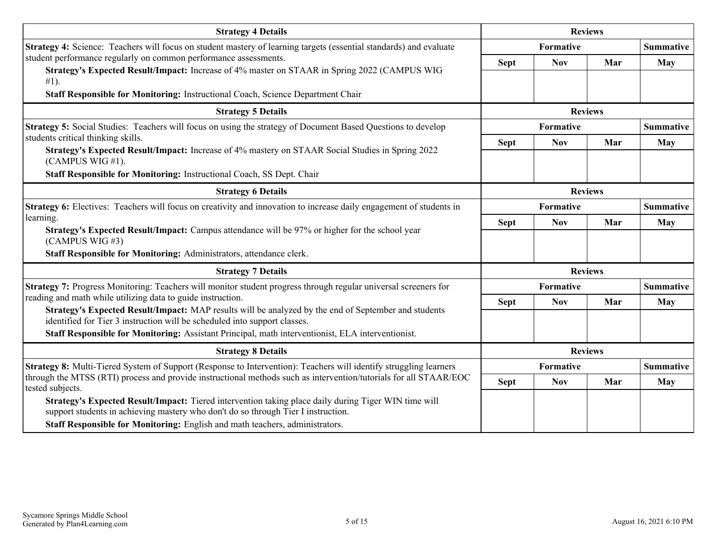| <b>Strategy 4 Details</b>                                                                                                                                                                 | <b>Reviews</b>   |                  |                |                  |
|-------------------------------------------------------------------------------------------------------------------------------------------------------------------------------------------|------------------|------------------|----------------|------------------|
| <b>Strategy 4:</b> Science: Teachers will focus on student mastery of learning targets (essential standards) and evaluate                                                                 |                  | Formative        |                | <b>Summative</b> |
| student performance regularly on common performance assessments.<br>Strategy's Expected Result/Impact: Increase of 4% master on STAAR in Spring 2022 (CAMPUS WIG                          | <b>Sept</b>      | <b>Nov</b>       | Mar            | <b>May</b>       |
| $#1$ ).<br>Staff Responsible for Monitoring: Instructional Coach, Science Department Chair                                                                                                |                  |                  |                |                  |
| <b>Strategy 5 Details</b>                                                                                                                                                                 |                  |                  | <b>Reviews</b> |                  |
| Strategy 5: Social Studies: Teachers will focus on using the strategy of Document Based Questions to develop                                                                              |                  | <b>Formative</b> |                | <b>Summative</b> |
| students critical thinking skills.<br>Strategy's Expected Result/Impact: Increase of 4% mastery on STAAR Social Studies in Spring 2022<br>(CAMPUS WIG #1).                                | <b>Sept</b>      | <b>Nov</b>       | Mar            | May              |
| Staff Responsible for Monitoring: Instructional Coach, SS Dept. Chair                                                                                                                     |                  |                  |                |                  |
| <b>Strategy 6 Details</b>                                                                                                                                                                 | <b>Reviews</b>   |                  |                |                  |
| <b>Strategy 6:</b> Electives: Teachers will focus on creativity and innovation to increase daily engagement of students in                                                                | Formative        |                  |                | <b>Summative</b> |
| learning.<br>Strategy's Expected Result/Impact: Campus attendance will be 97% or higher for the school year<br>(CAMPUS WIG#3)                                                             | <b>Sept</b>      | <b>Nov</b>       | Mar            | May              |
| Staff Responsible for Monitoring: Administrators, attendance clerk.                                                                                                                       |                  |                  |                |                  |
| <b>Strategy 7 Details</b>                                                                                                                                                                 |                  |                  | <b>Reviews</b> |                  |
| Strategy 7: Progress Monitoring: Teachers will monitor student progress through regular universal screeners for                                                                           |                  | <b>Formative</b> |                | <b>Summative</b> |
| reading and math while utilizing data to guide instruction.                                                                                                                               | <b>Sept</b>      | <b>Nov</b>       | Mar            | <b>May</b>       |
| Strategy's Expected Result/Impact: MAP results will be analyzed by the end of September and students<br>identified for Tier 3 instruction will be scheduled into support classes.         |                  |                  |                |                  |
| Staff Responsible for Monitoring: Assistant Principal, math interventionist, ELA interventionist.                                                                                         |                  |                  |                |                  |
| <b>Strategy 8 Details</b>                                                                                                                                                                 |                  | <b>Reviews</b>   |                |                  |
| Strategy 8: Multi-Tiered System of Support (Response to Intervention): Teachers will identify struggling learners                                                                         | <b>Formative</b> |                  |                | <b>Summative</b> |
| through the MTSS (RTI) process and provide instructional methods such as intervention/tutorials for all STAAR/EOC<br>tested subjects.                                                     | <b>Sept</b>      | <b>Nov</b>       | Mar            | May              |
| Strategy's Expected Result/Impact: Tiered intervention taking place daily during Tiger WIN time will<br>support students in achieving mastery who don't do so through Tier I instruction. |                  |                  |                |                  |
| Staff Responsible for Monitoring: English and math teachers, administrators.                                                                                                              |                  |                  |                |                  |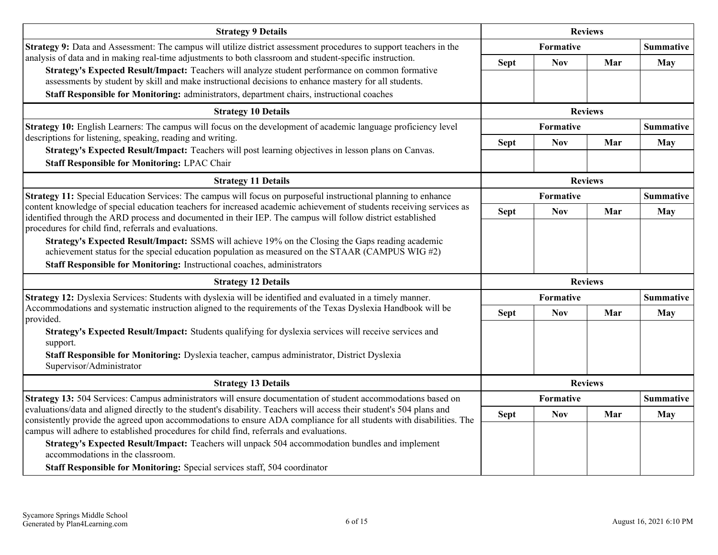| <b>Strategy 9 Details</b>                                                                                                                                                                                                                     | <b>Reviews</b> |                               |                |                  |
|-----------------------------------------------------------------------------------------------------------------------------------------------------------------------------------------------------------------------------------------------|----------------|-------------------------------|----------------|------------------|
| Strategy 9: Data and Assessment: The campus will utilize district assessment procedures to support teachers in the                                                                                                                            |                | Formative                     |                | <b>Summative</b> |
| analysis of data and in making real-time adjustments to both classroom and student-specific instruction.                                                                                                                                      | <b>Sept</b>    | <b>Nov</b>                    | Mar            | <b>May</b>       |
| Strategy's Expected Result/Impact: Teachers will analyze student performance on common formative<br>assessments by student by skill and make instructional decisions to enhance mastery for all students.                                     |                |                               |                |                  |
| Staff Responsible for Monitoring: administrators, department chairs, instructional coaches                                                                                                                                                    |                |                               |                |                  |
| <b>Strategy 10 Details</b>                                                                                                                                                                                                                    |                |                               | <b>Reviews</b> |                  |
| Strategy 10: English Learners: The campus will focus on the development of academic language proficiency level                                                                                                                                |                | Formative                     |                | <b>Summative</b> |
| descriptions for listening, speaking, reading and writing.                                                                                                                                                                                    | <b>Sept</b>    | <b>Nov</b>                    | Mar            | <b>May</b>       |
| Strategy's Expected Result/Impact: Teachers will post learning objectives in lesson plans on Canvas.<br><b>Staff Responsible for Monitoring: LPAC Chair</b>                                                                                   |                |                               |                |                  |
| <b>Strategy 11 Details</b>                                                                                                                                                                                                                    | <b>Reviews</b> |                               |                |                  |
| Strategy 11: Special Education Services: The campus will focus on purposeful instructional planning to enhance                                                                                                                                |                | Formative                     |                | <b>Summative</b> |
| content knowledge of special education teachers for increased academic achievement of students receiving services as                                                                                                                          | <b>Sept</b>    | <b>Nov</b>                    | Mar            | <b>May</b>       |
| identified through the ARD process and documented in their IEP. The campus will follow district established<br>procedures for child find, referrals and evaluations.                                                                          |                |                               |                |                  |
| Strategy's Expected Result/Impact: SSMS will achieve 19% on the Closing the Gaps reading academic                                                                                                                                             |                |                               |                |                  |
| achievement status for the special education population as measured on the STAAR (CAMPUS WIG $#2$ )                                                                                                                                           |                |                               |                |                  |
| Staff Responsible for Monitoring: Instructional coaches, administrators                                                                                                                                                                       |                |                               |                |                  |
| <b>Strategy 12 Details</b>                                                                                                                                                                                                                    |                |                               | <b>Reviews</b> |                  |
| Strategy 12: Dyslexia Services: Students with dyslexia will be identified and evaluated in a timely manner.<br>Accommodations and systematic instruction aligned to the requirements of the Texas Dyslexia Handbook will be                   |                | Formative                     |                | <b>Summative</b> |
| provided.                                                                                                                                                                                                                                     | <b>Sept</b>    | <b>Nov</b>                    | Mar            | <b>May</b>       |
| Strategy's Expected Result/Impact: Students qualifying for dyslexia services will receive services and                                                                                                                                        |                |                               |                |                  |
| support.                                                                                                                                                                                                                                      |                |                               |                |                  |
| Staff Responsible for Monitoring: Dyslexia teacher, campus administrator, District Dyslexia<br>Supervisor/Administrator                                                                                                                       |                |                               |                |                  |
| <b>Strategy 13 Details</b>                                                                                                                                                                                                                    |                | <b>Reviews</b>                |                |                  |
| Strategy 13: 504 Services: Campus administrators will ensure documentation of student accommodations based on                                                                                                                                 |                | Formative<br><b>Summative</b> |                |                  |
| evaluations/data and aligned directly to the student's disability. Teachers will access their student's 504 plans and<br>consistently provide the agreed upon accommodations to ensure ADA compliance for all students with disabilities. The | <b>Sept</b>    | <b>Nov</b>                    | Mar            | May              |
| campus will adhere to established procedures for child find, referrals and evaluations.                                                                                                                                                       |                |                               |                |                  |
| Strategy's Expected Result/Impact: Teachers will unpack 504 accommodation bundles and implement<br>accommodations in the classroom.                                                                                                           |                |                               |                |                  |
| Staff Responsible for Monitoring: Special services staff, 504 coordinator                                                                                                                                                                     |                |                               |                |                  |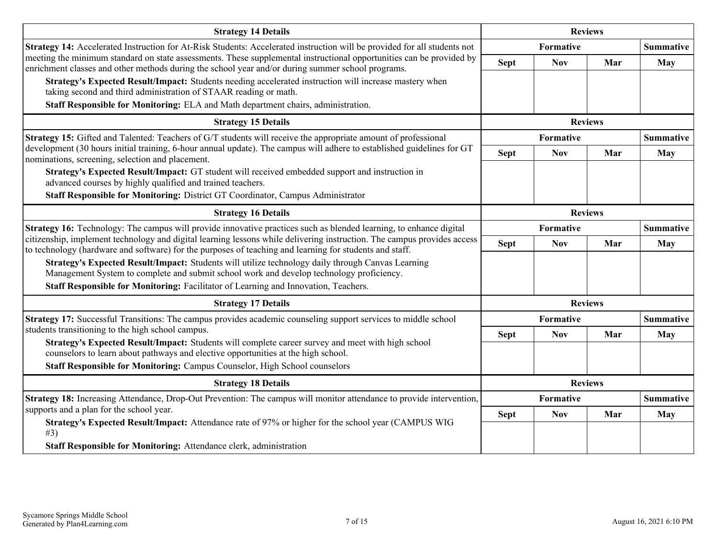| <b>Strategy 14 Details</b>                                                                                                                                                                                                         | <b>Reviews</b> |                  |                |                  |
|------------------------------------------------------------------------------------------------------------------------------------------------------------------------------------------------------------------------------------|----------------|------------------|----------------|------------------|
| Strategy 14: Accelerated Instruction for At-Risk Students: Accelerated instruction will be provided for all students not                                                                                                           |                | Formative        |                |                  |
| meeting the minimum standard on state assessments. These supplemental instructional opportunities can be provided by<br>enrichment classes and other methods during the school year and/or during summer school programs.          | <b>Sept</b>    | <b>Nov</b>       | Mar            | <b>May</b>       |
| Strategy's Expected Result/Impact: Students needing accelerated instruction will increase mastery when<br>taking second and third administration of STAAR reading or math.                                                         |                |                  |                |                  |
| Staff Responsible for Monitoring: ELA and Math department chairs, administration.                                                                                                                                                  |                |                  |                |                  |
| <b>Strategy 15 Details</b>                                                                                                                                                                                                         |                |                  | <b>Reviews</b> |                  |
| Strategy 15: Gifted and Talented: Teachers of G/T students will receive the appropriate amount of professional                                                                                                                     |                | <b>Formative</b> |                | <b>Summative</b> |
| development (30 hours initial training, 6-hour annual update). The campus will adhere to established guidelines for GT<br>nominations, screening, selection and placement.                                                         | <b>Sept</b>    | <b>Nov</b>       | Mar            | <b>May</b>       |
| Strategy's Expected Result/Impact: GT student will received embedded support and instruction in<br>advanced courses by highly qualified and trained teachers.                                                                      |                |                  |                |                  |
| Staff Responsible for Monitoring: District GT Coordinator, Campus Administrator                                                                                                                                                    |                |                  |                |                  |
| <b>Strategy 16 Details</b>                                                                                                                                                                                                         |                | <b>Reviews</b>   |                |                  |
| <b>Strategy 16:</b> Technology: The campus will provide innovative practices such as blended learning, to enhance digital                                                                                                          | Formative      |                  |                | <b>Summative</b> |
| citizenship, implement technology and digital learning lessons while delivering instruction. The campus provides access<br>to technology (hardware and software) for the purposes of teaching and learning for students and staff. | <b>Sept</b>    | <b>Nov</b>       | Mar            | <b>May</b>       |
| Strategy's Expected Result/Impact: Students will utilize technology daily through Canvas Learning<br>Management System to complete and submit school work and develop technology proficiency.                                      |                |                  |                |                  |
| Staff Responsible for Monitoring: Facilitator of Learning and Innovation, Teachers.                                                                                                                                                |                |                  |                |                  |
| <b>Strategy 17 Details</b>                                                                                                                                                                                                         |                |                  | <b>Reviews</b> |                  |
| Strategy 17: Successful Transitions: The campus provides academic counseling support services to middle school                                                                                                                     |                | Formative        |                | <b>Summative</b> |
| students transitioning to the high school campus.<br>Strategy's Expected Result/Impact: Students will complete career survey and meet with high school                                                                             | <b>Sept</b>    | <b>Nov</b>       | Mar            | <b>May</b>       |
| counselors to learn about pathways and elective opportunities at the high school.                                                                                                                                                  |                |                  |                |                  |
| Staff Responsible for Monitoring: Campus Counselor, High School counselors                                                                                                                                                         |                |                  |                |                  |
| <b>Strategy 18 Details</b>                                                                                                                                                                                                         |                |                  | <b>Reviews</b> |                  |
| Strategy 18: Increasing Attendance, Drop-Out Prevention: The campus will monitor attendance to provide intervention,<br>supports and a plan for the school year.                                                                   |                | Formative        |                | <b>Summative</b> |
| Strategy's Expected Result/Impact: Attendance rate of 97% or higher for the school year (CAMPUS WIG<br>#3)                                                                                                                         | <b>Sept</b>    | <b>Nov</b>       | Mar            | <b>May</b>       |
| Staff Responsible for Monitoring: Attendance clerk, administration                                                                                                                                                                 |                |                  |                |                  |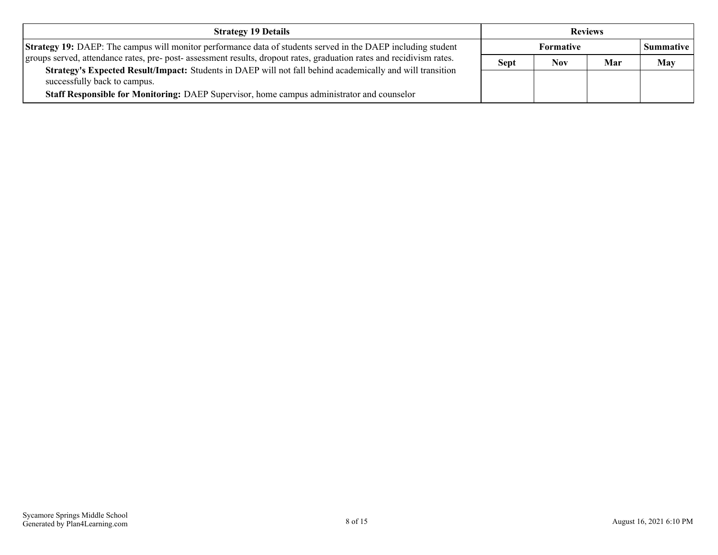| <b>Strategy 19 Details</b>                                                                                                                |             | <b>Reviews</b>   |     |            |
|-------------------------------------------------------------------------------------------------------------------------------------------|-------------|------------------|-----|------------|
| <b>Strategy 19:</b> DAEP: The campus will monitor performance data of students served in the DAEP including student                       |             | <b>Formative</b> |     | Summative  |
| groups served, attendance rates, pre- post- assessment results, dropout rates, graduation rates and recidivism rates.                     | <b>Sept</b> | Nov.             | Mar | <b>May</b> |
| Strategy's Expected Result/Impact: Students in DAEP will not fall behind academically and will transition<br>successfully back to campus. |             |                  |     |            |
| Staff Responsible for Monitoring: DAEP Supervisor, home campus administrator and counselor                                                |             |                  |     |            |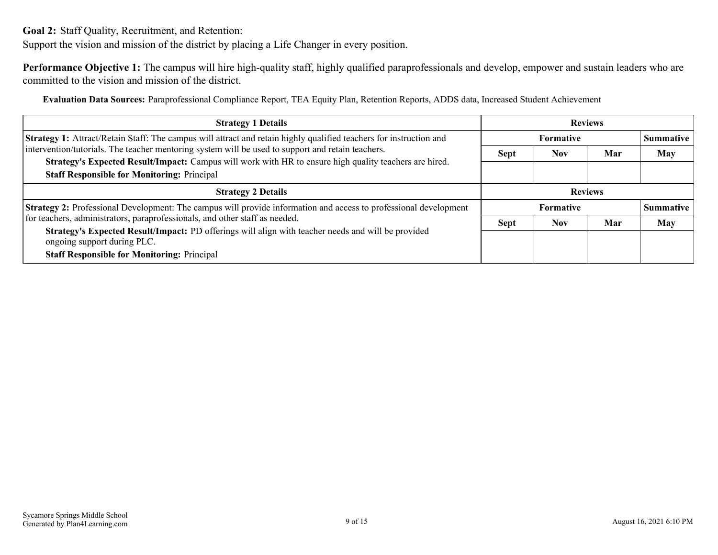<span id="page-8-0"></span>**Goal 2:** Staff Quality, Recruitment, and Retention:

Support the vision and mission of the district by placing a Life Changer in every position.

**Performance Objective 1:** The campus will hire high-quality staff, highly qualified paraprofessionals and develop, empower and sustain leaders who are committed to the vision and mission of the district.

**Evaluation Data Sources:** Paraprofessional Compliance Report, TEA Equity Plan, Retention Reports, ADDS data, Increased Student Achievement

| <b>Strategy 1 Details</b>                                                                                                                                                                                   | <b>Reviews</b>   |            |     |                  |
|-------------------------------------------------------------------------------------------------------------------------------------------------------------------------------------------------------------|------------------|------------|-----|------------------|
| <b>Strategy 1:</b> Attract/Retain Staff: The campus will attract and retain highly qualified teachers for instruction and                                                                                   | <b>Formative</b> |            |     | <b>Summative</b> |
| intervention/tutorials. The teacher mentoring system will be used to support and retain teachers.<br>Strategy's Expected Result/Impact: Campus will work with HR to ensure high quality teachers are hired. | <b>Sept</b>      | <b>Nov</b> | Mar | <b>May</b>       |
|                                                                                                                                                                                                             |                  |            |     |                  |
| <b>Staff Responsible for Monitoring: Principal</b>                                                                                                                                                          |                  |            |     |                  |
| <b>Strategy 2 Details</b>                                                                                                                                                                                   | <b>Reviews</b>   |            |     |                  |
| Strategy 2: Professional Development: The campus will provide information and access to professional development                                                                                            | <b>Formative</b> |            |     | <b>Summative</b> |
| for teachers, administrators, paraprofessionals, and other staff as needed.                                                                                                                                 | <b>Sept</b>      | <b>Nov</b> | Mar | <b>May</b>       |
| Strategy's Expected Result/Impact: PD offerings will align with teacher needs and will be provided<br>ongoing support during PLC.                                                                           |                  |            |     |                  |
| <b>Staff Responsible for Monitoring: Principal</b>                                                                                                                                                          |                  |            |     |                  |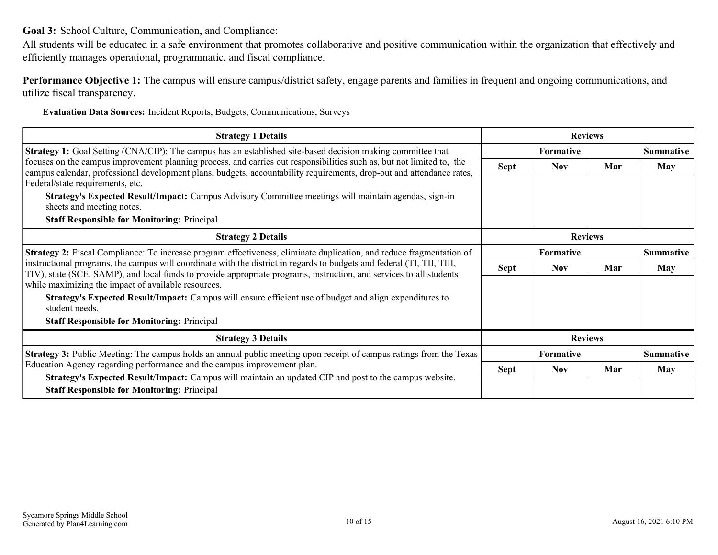<span id="page-9-0"></span>**Goal 3:** School Culture, Communication, and Compliance:

All students will be educated in a safe environment that promotes collaborative and positive communication within the organization that effectively and efficiently manages operational, programmatic, and fiscal compliance.

**Performance Objective 1:** The campus will ensure campus/district safety, engage parents and families in frequent and ongoing communications, and utilize fiscal transparency.

**Evaluation Data Sources:** Incident Reports, Budgets, Communications, Surveys

| <b>Strategy 1 Details</b>                                                                                                                                                                                                                                                                                                                                                                  | <b>Reviews</b>   |            |     |                  |
|--------------------------------------------------------------------------------------------------------------------------------------------------------------------------------------------------------------------------------------------------------------------------------------------------------------------------------------------------------------------------------------------|------------------|------------|-----|------------------|
| <b>Strategy 1:</b> Goal Setting (CNA/CIP): The campus has an established site-based decision making committee that                                                                                                                                                                                                                                                                         | <b>Formative</b> |            |     | <b>Summative</b> |
| focuses on the campus improvement planning process, and carries out responsibilities such as, but not limited to, the<br>campus calendar, professional development plans, budgets, accountability requirements, drop-out and attendance rates,<br>Federal/state requirements, etc.<br>Strategy's Expected Result/Impact: Campus Advisory Committee meetings will maintain agendas, sign-in | <b>Sept</b>      | Nov.       | Mar | <b>May</b>       |
| sheets and meeting notes.<br><b>Staff Responsible for Monitoring: Principal</b>                                                                                                                                                                                                                                                                                                            |                  |            |     |                  |
| <b>Strategy 2 Details</b>                                                                                                                                                                                                                                                                                                                                                                  | <b>Reviews</b>   |            |     |                  |
| <b>Strategy 2:</b> Fiscal Compliance: To increase program effectiveness, eliminate duplication, and reduce fragmentation of                                                                                                                                                                                                                                                                | Formative        |            |     | <b>Summative</b> |
| instructional programs, the campus will coordinate with the district in regards to budgets and federal (TI, TII, TIII,<br>TIV), state (SCE, SAMP), and local funds to provide appropriate programs, instruction, and services to all students<br>while maximizing the impact of available resources.                                                                                       | <b>Sept</b>      | Nov.       | Mar | <b>May</b>       |
| Strategy's Expected Result/Impact: Campus will ensure efficient use of budget and align expenditures to<br>student needs.                                                                                                                                                                                                                                                                  |                  |            |     |                  |
| <b>Staff Responsible for Monitoring: Principal</b>                                                                                                                                                                                                                                                                                                                                         |                  |            |     |                  |
| <b>Strategy 3 Details</b>                                                                                                                                                                                                                                                                                                                                                                  | <b>Reviews</b>   |            |     |                  |
| <b>Strategy 3:</b> Public Meeting: The campus holds an annual public meeting upon receipt of campus ratings from the Texas                                                                                                                                                                                                                                                                 | <b>Formative</b> |            |     | <b>Summative</b> |
| Education Agency regarding performance and the campus improvement plan.<br>Strategy's Expected Result/Impact: Campus will maintain an updated CIP and post to the campus website.<br><b>Staff Responsible for Monitoring: Principal</b>                                                                                                                                                    | <b>Sept</b>      | <b>Nov</b> | Mar | <b>May</b>       |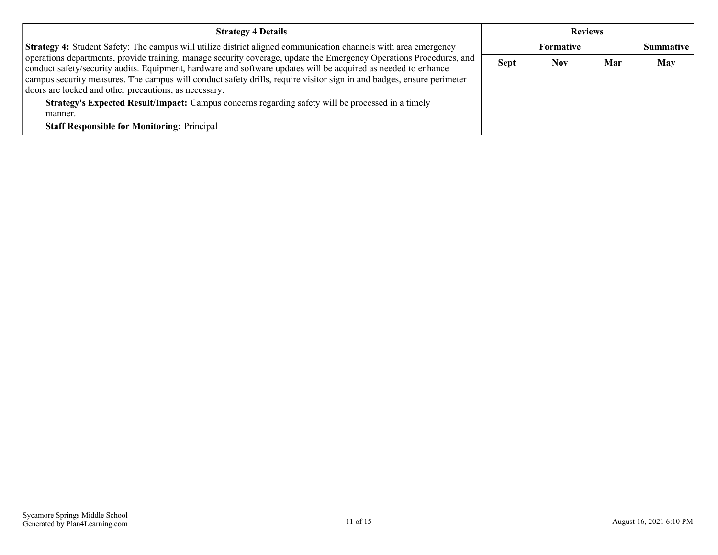| <b>Reviews</b> |            |     |                  |
|----------------|------------|-----|------------------|
|                | Formative  |     | <b>Summative</b> |
| <b>Sept</b>    | <b>Nov</b> | Mar | <b>May</b>       |
|                |            |     |                  |
|                |            |     |                  |
|                |            |     |                  |
|                |            |     |                  |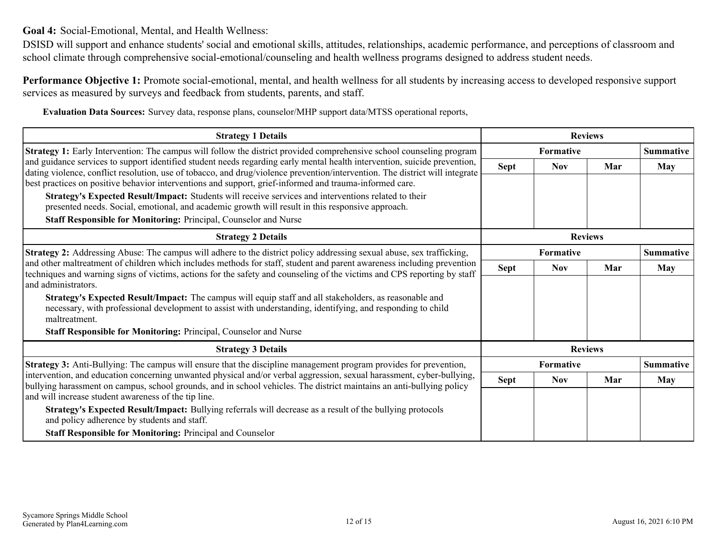<span id="page-11-0"></span>**Goal 4:** Social-Emotional, Mental, and Health Wellness:

DSISD will support and enhance students' social and emotional skills, attitudes, relationships, academic performance, and perceptions of classroom and school climate through comprehensive social-emotional/counseling and health wellness programs designed to address student needs.

**Performance Objective 1:** Promote social-emotional, mental, and health wellness for all students by increasing access to developed responsive support services as measured by surveys and feedback from students, parents, and staff.

**Evaluation Data Sources:** Survey data, response plans, counselor/MHP support data/MTSS operational reports,

| <b>Strategy 1 Details</b>                                                                                                                                                                                                                                 | <b>Reviews</b> |            |                |                  |
|-----------------------------------------------------------------------------------------------------------------------------------------------------------------------------------------------------------------------------------------------------------|----------------|------------|----------------|------------------|
| <b>Strategy 1:</b> Early Intervention: The campus will follow the district provided comprehensive school counseling program                                                                                                                               |                | Formative  |                | <b>Summative</b> |
| and guidance services to support identified student needs regarding early mental health intervention, suicide prevention,<br>dating violence, conflict resolution, use of tobacco, and drug/violence prevention/intervention. The district will integrate | <b>Sept</b>    | <b>Nov</b> | Mar            | <b>May</b>       |
| best practices on positive behavior interventions and support, grief-informed and trauma-informed care.                                                                                                                                                   |                |            |                |                  |
| Strategy's Expected Result/Impact: Students will receive services and interventions related to their<br>presented needs. Social, emotional, and academic growth will result in this responsive approach.                                                  |                |            |                |                  |
| Staff Responsible for Monitoring: Principal, Counselor and Nurse                                                                                                                                                                                          |                |            |                |                  |
| <b>Strategy 2 Details</b>                                                                                                                                                                                                                                 | <b>Reviews</b> |            |                |                  |
| <b>Strategy 2:</b> Addressing Abuse: The campus will adhere to the district policy addressing sexual abuse, sex trafficking,                                                                                                                              | Formative      |            |                | <b>Summative</b> |
| and other maltreatment of children which includes methods for staff, student and parent awareness including prevention<br>techniques and warning signs of victims, actions for the safety and counseling of the victims and CPS reporting by staff        | <b>Sept</b>    | <b>Nov</b> | Mar            | <b>May</b>       |
| and administrators.                                                                                                                                                                                                                                       |                |            |                |                  |
| Strategy's Expected Result/Impact: The campus will equip staff and all stakeholders, as reasonable and<br>necessary, with professional development to assist with understanding, identifying, and responding to child<br>maltreatment.                    |                |            |                |                  |
| <b>Staff Responsible for Monitoring: Principal, Counselor and Nurse</b>                                                                                                                                                                                   |                |            |                |                  |
| <b>Strategy 3 Details</b>                                                                                                                                                                                                                                 |                |            | <b>Reviews</b> |                  |
| <b>Strategy 3:</b> Anti-Bullying: The campus will ensure that the discipline management program provides for prevention,                                                                                                                                  |                | Formative  |                | <b>Summative</b> |
| intervention, and education concerning unwanted physical and/or verbal aggression, sexual harassment, cyber-bullying,<br>bullying harassment on campus, school grounds, and in school vehicles. The district maintains an anti-bullying policy            | <b>Sept</b>    | <b>Nov</b> | Mar            | <b>May</b>       |
| and will increase student awareness of the tip line.                                                                                                                                                                                                      |                |            |                |                  |
| Strategy's Expected Result/Impact: Bullying referrals will decrease as a result of the bullying protocols<br>and policy adherence by students and staff.                                                                                                  |                |            |                |                  |
| <b>Staff Responsible for Monitoring: Principal and Counselor</b>                                                                                                                                                                                          |                |            |                |                  |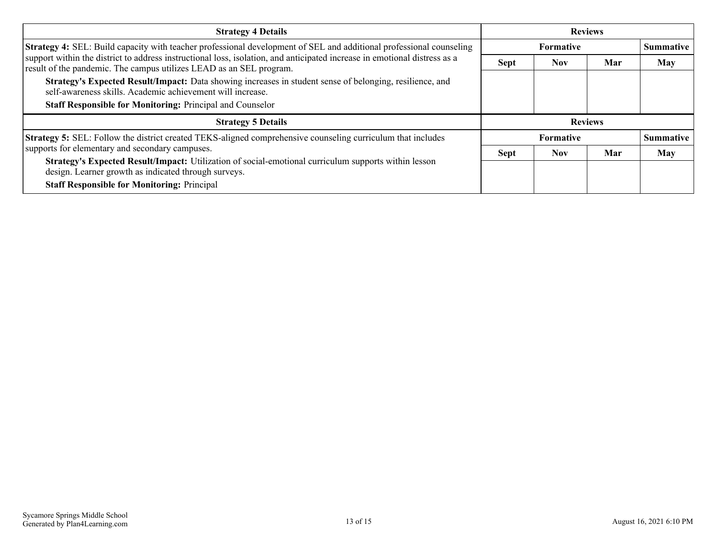| <b>Strategy 4 Details</b>                                                                                                                                                                        | <b>Reviews</b> |                  |     |                  |  |
|--------------------------------------------------------------------------------------------------------------------------------------------------------------------------------------------------|----------------|------------------|-----|------------------|--|
| Strategy 4: SEL: Build capacity with teacher professional development of SEL and additional professional counseling                                                                              |                | Formative        |     | <b>Summative</b> |  |
| support within the district to address instructional loss, isolation, and anticipated increase in emotional distress as a<br>result of the pandemic. The campus utilizes LEAD as an SEL program. | <b>Sept</b>    | <b>Nov</b>       | Mar | May              |  |
| Strategy's Expected Result/Impact: Data showing increases in student sense of belonging, resilience, and<br>self-awareness skills. Academic achievement will increase.                           |                |                  |     |                  |  |
| <b>Staff Responsible for Monitoring: Principal and Counselor</b>                                                                                                                                 |                |                  |     |                  |  |
| <b>Strategy 5 Details</b>                                                                                                                                                                        |                | <b>Reviews</b>   |     |                  |  |
| <b>Strategy 5:</b> SEL: Follow the district created TEKS-aligned comprehensive counseling curriculum that includes                                                                               |                | <b>Formative</b> |     | <b>Summative</b> |  |
| supports for elementary and secondary campuses.                                                                                                                                                  | <b>Sept</b>    | <b>Nov</b>       | Mar | May              |  |
| Strategy's Expected Result/Impact: Utilization of social-emotional curriculum supports within lesson<br>design. Learner growth as indicated through surveys.                                     |                |                  |     |                  |  |
| <b>Staff Responsible for Monitoring: Principal</b>                                                                                                                                               |                |                  |     |                  |  |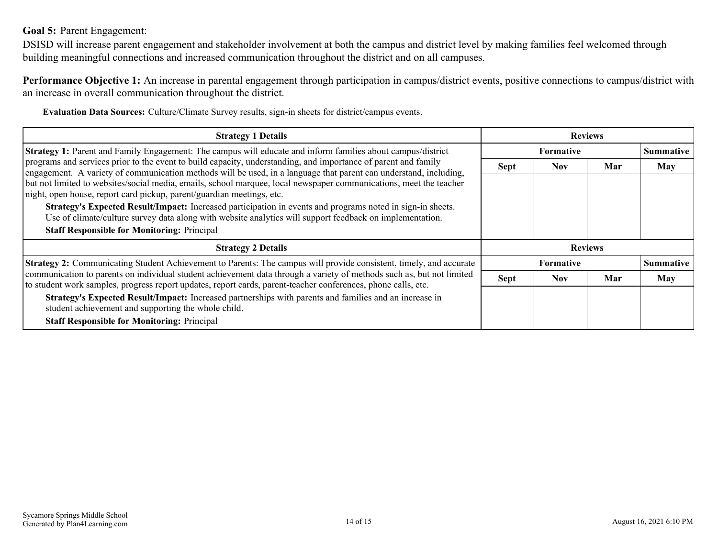### <span id="page-13-0"></span>**Goal 5:** Parent Engagement:

DSISD will increase parent engagement and stakeholder involvement at both the campus and district level by making families feel welcomed through building meaningful connections and increased communication throughout the district and on all campuses.

**Performance Objective 1:** An increase in parental engagement through participation in campus/district events, positive connections to campus/district with an increase in overall communication throughout the district.

**Evaluation Data Sources:** Culture/Climate Survey results, sign-in sheets for district/campus events.

| <b>Strategy 1 Details</b>                                                                                                                                                                                                              | <b>Reviews</b>   |            |     |                  |
|----------------------------------------------------------------------------------------------------------------------------------------------------------------------------------------------------------------------------------------|------------------|------------|-----|------------------|
| Strategy 1: Parent and Family Engagement: The campus will educate and inform families about campus/district                                                                                                                            | <b>Formative</b> |            |     | <b>Summative</b> |
| programs and services prior to the event to build capacity, understanding, and importance of parent and family<br>engagement. A variety of communication methods will be used, in a language that parent can understand, including,    | <b>Sept</b>      | <b>Nov</b> | Mar | <b>May</b>       |
| but not limited to websites/social media, emails, school marquee, local newspaper communications, meet the teacher<br>night, open house, report card pickup, parent/guardian meetings, etc.                                            |                  |            |     |                  |
| Strategy's Expected Result/Impact: Increased participation in events and programs noted in sign-in sheets.<br>Use of climate/culture survey data along with website analytics will support feedback on implementation.                 |                  |            |     |                  |
| <b>Staff Responsible for Monitoring: Principal</b>                                                                                                                                                                                     |                  |            |     |                  |
| <b>Strategy 2 Details</b>                                                                                                                                                                                                              | <b>Reviews</b>   |            |     |                  |
| Strategy 2: Communicating Student Achievement to Parents: The campus will provide consistent, timely, and accurate                                                                                                                     | <b>Formative</b> |            |     | <b>Summative</b> |
| communication to parents on individual student achievement data through a variety of methods such as, but not limited<br>to student work samples, progress report updates, report cards, parent-teacher conferences, phone calls, etc. | <b>Sept</b>      | <b>Nov</b> | Mar | <b>May</b>       |
| Strategy's Expected Result/Impact: Increased partnerships with parents and families and an increase in<br>student achievement and supporting the whole child.                                                                          |                  |            |     |                  |
| <b>Staff Responsible for Monitoring: Principal</b>                                                                                                                                                                                     |                  |            |     |                  |